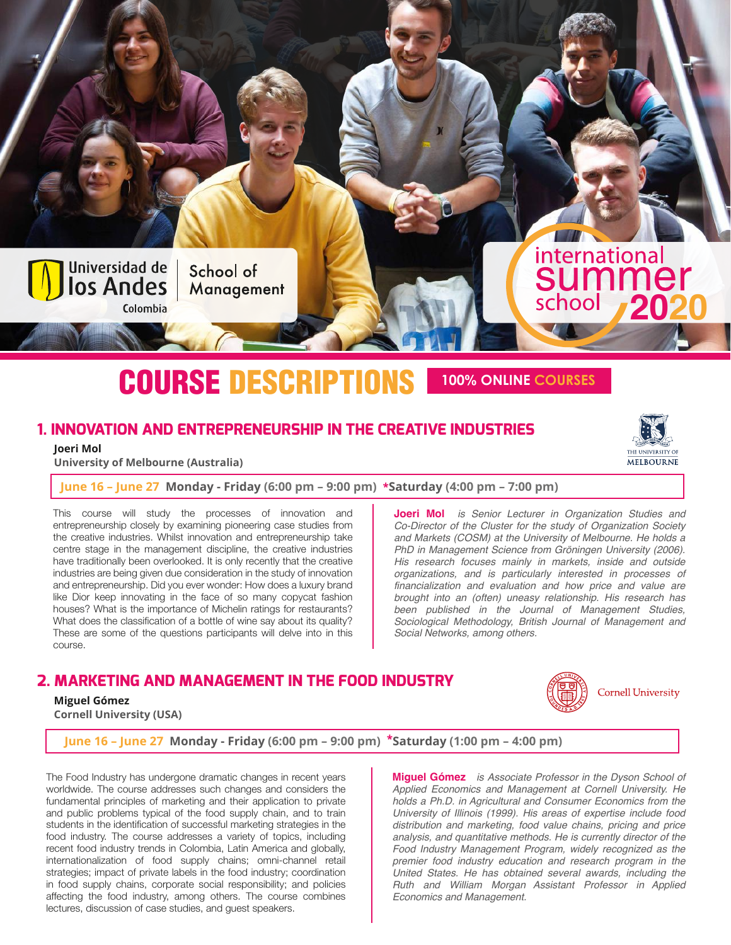

# COURSE DESCRIPTIONS **<sup>100</sup>% ONLINE COURSES**

# **1. INNOVATION AND ENTREPRENEURSHIP IN THE CREATIVE INDUSTRIES**

 **Joeri Mol**

 **University of Melbourne (Australia)**

**June 16 – June 27 Monday - Friday (6:00 pm – 9:00 pm) \*Saturday (4:00 pm – 7:00 pm)**

This course will study the processes of innovation and entrepreneurship closely by examining pioneering case studies from the creative industries. Whilst innovation and entrepreneurship take centre stage in the management discipline, the creative industries have traditionally been overlooked. It is only recently that the creative industries are being given due consideration in the study of innovation and entrepreneurship. Did you ever wonder: How does a luxury brand like Dior keep innovating in the face of so many copycat fashion houses? What is the importance of Michelin ratings for restaurants? What does the classification of a bottle of wine say about its quality? These are some of the questions participants will delve into in this course.

#### **Joeri Mol** *is Senior Lecturer in Organization Studies and Co-Director of the Cluster for the study of Organization Society and Markets (COSM) at the University of Melbourne. He holds a PhD in Management Science from Gröningen University (2006). His research focuses mainly in markets, inside and outside organizations, and is particularly interested in processes of financialization and evaluation and how price and value are brought into an (often) uneasy relationship. His research has been published in the Journal of Management Studies, Sociological Methodology, British Journal of Management and Social Networks, among others.*

# **2. MARKETING AND MANAGEMENT IN THE FOOD INDUSTRY**

#### **Miguel Gómez**

 **Cornell University (USA)**

**Cornell University** 

#### **June 16 – June 27 Monday - Friday (6:00 pm – 9:00 pm) \*Saturday (1:00 pm – 4:00 pm)**

The Food Industry has undergone dramatic changes in recent years worldwide. The course addresses such changes and considers the fundamental principles of marketing and their application to private and public problems typical of the food supply chain, and to train students in the identification of successful marketing strategies in the food industry. The course addresses a variety of topics, including recent food industry trends in Colombia, Latin America and globally, internationalization of food supply chains; omni-channel retail strategies; impact of private labels in the food industry; coordination in food supply chains, corporate social responsibility; and policies affecting the food industry, among others. The course combines lectures, discussion of case studies, and guest speakers.

**Miguel Gómez** *is Associate Professor in the Dyson School of Applied Economics and Management at Cornell University. He holds a Ph.D. in Agricultural and Consumer Economics from the University of Illinois (1999). His areas of expertise include food distribution and marketing, food value chains, pricing and price analysis, and quantitative methods. He is currently director of the Food Industry Management Program, widely recognized as the premier food industry education and research program in the United States. He has obtained several awards, including the Ruth and William Morgan Assistant Professor in Applied Economics and Management.*



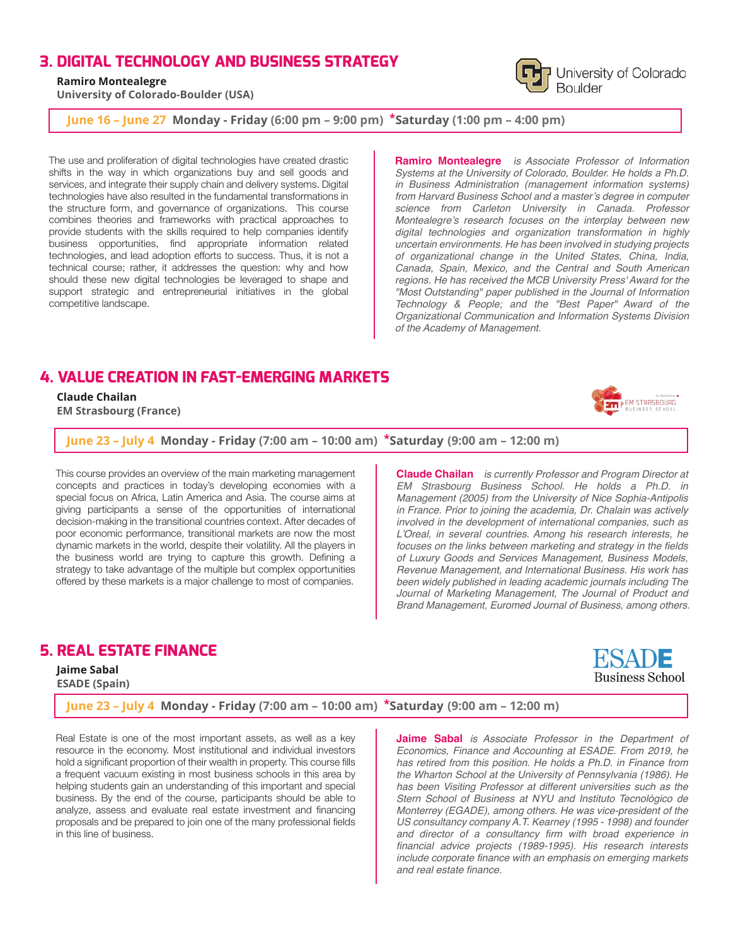## **3. DIGITAL TECHNOLOGY AND BUSINESS STRATEGY**

#### **Ramiro Montealegre**

 **University of Colorado-Boulder (USA)**

**June 16 – June 27 Monday - Friday (6:00 pm – 9:00 pm) \*Saturday (1:00 pm – 4:00 pm)**

The use and proliferation of digital technologies have created drastic shifts in the way in which organizations buy and sell goods and services, and integrate their supply chain and delivery systems. Digital technologies have also resulted in the fundamental transformations in the structure form, and governance of organizations. This course combines theories and frameworks with practical approaches to provide students with the skills required to help companies identify business opportunities, find appropriate information related technologies, and lead adoption efforts to success. Thus, it is not a technical course; rather, it addresses the question: why and how should these new digital technologies be leveraged to shape and support strategic and entrepreneurial initiatives in the global competitive landscape.

**Ramiro Montealegre** *is Associate Professor of Information Systems at the University of Colorado, Boulder. He holds a Ph.D. in Business Administration (management information systems)*  from Harvard Business School and a master's degree in computer *science from Carleton University in Canada. Professor*  Montealegre's research focuses on the interplay between new *digital technologies and organization transformation in highly uncertain environments. He has been involved in studying projects of organizational change in the United States, China, India, Canada, Spain, Mexico, and the Central and South American regions. He has received the MCB University Press' Award for the "Most Outstanding" paper published in the Journal of Information Technology & People; and the "Best Paper" Award of the Organizational Communication and Information Systems Division of the Academy of Management.*

## **4. VALUE CREATION IN FAST-EMERGING MARKETS**

 **Claude Chailan**

 **EM Strasbourg (France)**

**June 23 – July 4 Monday - Friday (7:00 am – 10:00 am) \*Saturday((9:00 am – 12:00 m)**

This course provides an overview of the main marketing management concepts and practices in today's developing economies with a special focus on Africa, Latin America and Asia. The course aims at giving participants a sense of the opportunities of international decision-making in the transitional countries context. After decades of poor economic performance, transitional markets are now the most dynamic markets in the world, despite their volatility. All the players in the business world are trying to capture this growth. Defining a strategy to take advantage of the multiple but complex opportunities offered by these markets is a major challenge to most of companies.

**Claude Chailan** *is currently Professor and Program Director at EM Strasbourg Business School. He holds a Ph.D. in Management (2005) from the University of Nice Sophia-Antipolis in France. Prior to joining the academia, Dr. Chalain was actively involved in the development of international companies, such as*  L'Oreal, in several countries. Among his research interests, he *focuses on the links between marketing and strategy in the fields of Luxury Goods and Services Management, Business Models, Revenue Management, and International Business. His work has been widely published in leading academic journals including The Journal of Marketing Management, The Journal of Product and Brand Management, Euromed Journal of Business, among others.*

## **5. REAL ESTATE FINANCE**

 **Jaime Sabal**

 **ESADE (Spain)**

**June 23 – July 4 Monday - Friday (7:00 am – 10:00 am) \*Saturday((9:00 am – 12:00 m)**

Real Estate is one of the most important assets, as well as a key resource in the economy. Most institutional and individual investors hold a significant proportion of their wealth in property. This course fills a frequent vacuum existing in most business schools in this area by helping students gain an understanding of this important and special business. By the end of the course, participants should be able to analyze, assess and evaluate real estate investment and financing proposals and be prepared to join one of the many professional fields in this line of business.

**Jaime Sabal** *is Associate Professor in the Department of Economics, Finance and Accounting at ESADE. From 2019, he has retired from this position. He holds a Ph.D. in Finance from the Wharton School at the University of Pennsylvania (1986). He has been Visiting Professor at different universities such as the Stern School of Business at NYU and Instituto Tecnológico de Monterrey (EGADE), among others. He was vice-president of the US consultancy company A.T. Kearney (1995 - 1998) and founder and director of a consultancy firm with broad experience in financial advice projects (1989-1995). His research interests include corporate finance with an emphasis on emerging markets and real estate finance.*



EM STRASBOURG

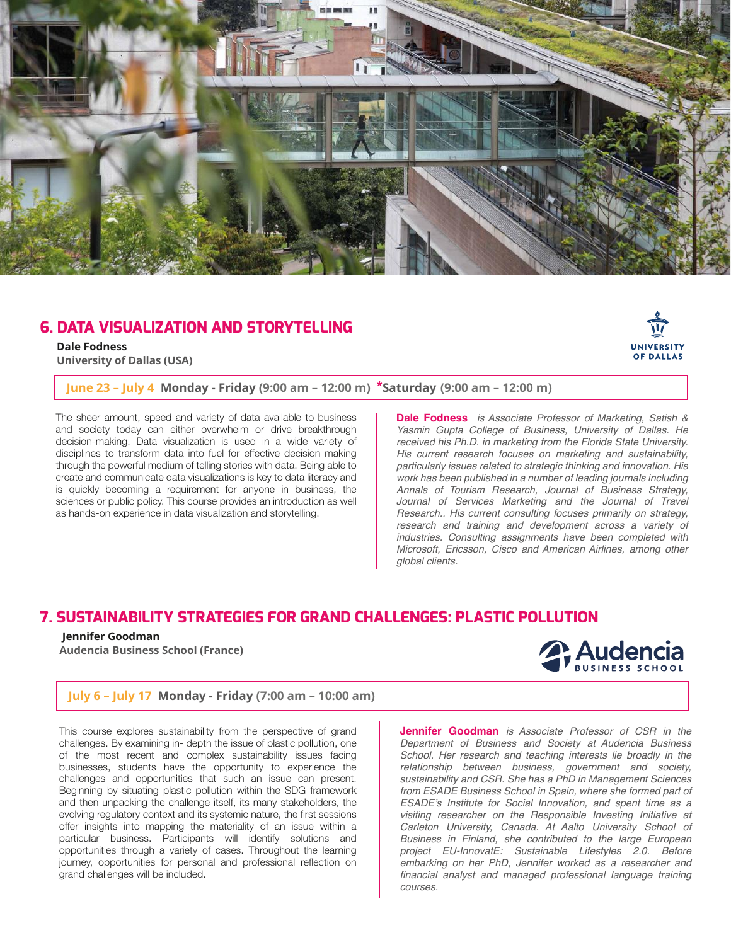

## **6. DATA VISUALIZATION AND STORYTELLING**

 **Dale Fodness University of Dallas (USA)**

### **June 23 – July 4 Monday - Friday (9:00 am – 12:00 m) \*Saturday((9:00 am – 12:00 m)**

The sheer amount, speed and variety of data available to business and society today can either overwhelm or drive breakthrough decision-making. Data visualization is used in a wide variety of disciplines to transform data into fuel for effective decision making through the powerful medium of telling stories with data. Being able to create and communicate data visualizations is key to data literacy and is quickly becoming a requirement for anyone in business, the sciences or public policy. This course provides an introduction as well as hands-on experience in data visualization and storytelling.

**Dale Fodness** *is Associate Professor of Marketing, Satish & Yasmin Gupta College of Business, University of Dallas. He received his Ph.D. in marketing from the Florida State University. His current research focuses on marketing and sustainability, particularly issues related to strategic thinking and innovation. His work has been published in a number of leading journals including Annals of Tourism Research, Journal of Business Strategy,*  Journal of Services Marketing and the Journal of Travel *Research.. His current consulting focuses primarily on strategy, research and training and development across a variety of industries. Consulting assignments have been completed with Microsoft, Ericsson, Cisco and American Airlines, among other global clients.*

## **7. SUSTAINABILITY STRATEGIES FOR GRAND CHALLENGES: PLASTIC POLLUTION**

#### **Jennifer Goodman**

 **Audencia Business School (France)**



UNIVERSITY **OF DALLAS** 

#### **July 6 – July 17 Monday - Friday (7:00 am – 10:00 am)**

This course explores sustainability from the perspective of grand challenges. By examining in- depth the issue of plastic pollution, one of the most recent and complex sustainability issues facing businesses, students have the opportunity to experience the challenges and opportunities that such an issue can present. Beginning by situating plastic pollution within the SDG framework and then unpacking the challenge itself, its many stakeholders, the evolving regulatory context and its systemic nature, the first sessions offer insights into mapping the materiality of an issue within a particular business. Participants will identify solutions and opportunities through a variety of cases. Throughout the learning journey, opportunities for personal and professional reflection on grand challenges will be included.

**Jennifer Goodman** *is Associate Professor of CSR in the Department of Business and Society at Audencia Business School. Her research and teaching interests lie broadly in the relationship between business, government and society, sustainability and CSR. She has a PhD in Management Sciences from ESADE Business School in Spain, where she formed part of*  ESADE's Institute for Social Innovation, and spent time as a *visiting researcher on the Responsible Investing Initiative at Carleton University, Canada. At Aalto University School of Business in Finland, she contributed to the large European project EU-InnovatE: Sustainable Lifestyles 2.0. Before embarking on her PhD, Jennifer worked as a researcher and financial analyst and managed professional language training courses.*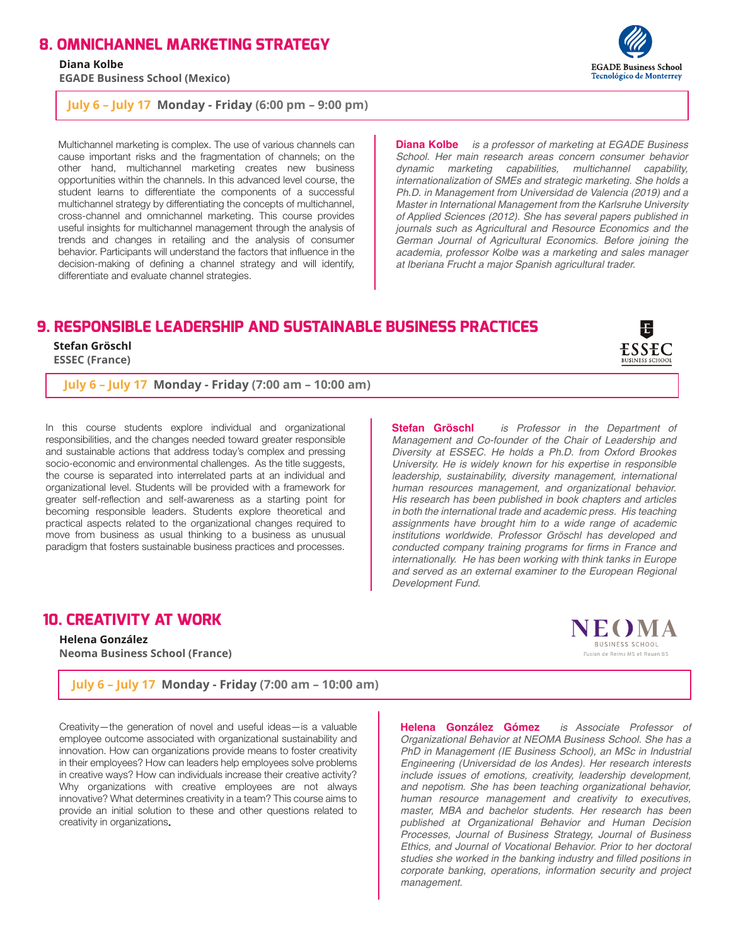#### **8. OMNICHANNEL MARKETING STRATEGY**

 **Diana Kolbe**

 **EGADE Business School (Mexico)**

**July 6 – July 17 Monday - Friday (6:00 pm – 9:00 pm)**

Multichannel marketing is complex. The use of various channels can cause important risks and the fragmentation of channels; on the other hand, multichannel marketing creates new business opportunities within the channels. In this advanced level course, the student learns to differentiate the components of a successful multichannel strategy by differentiating the concepts of multichannel, cross-channel and omnichannel marketing. This course provides useful insights for multichannel management through the analysis of trends and changes in retailing and the analysis of consumer behavior. Participants will understand the factors that influence in the decision-making of defining a channel strategy and will identify, differentiate and evaluate channel strategies.

**Diana Kolbe** *is a professor of marketing at EGADE Business School. Her main research areas concern consumer behavior dynamic marketing capabilities, multichannel capability, internationalization of SMEs and strategic marketing. She holds a Ph.D. in Management from Universidad de Valencia (2019) and a Master in International Management from the Karlsruhe University of Applied Sciences (2012). She has several papers published in journals such as Agricultural and Resource Economics and the German Journal of Agricultural Economics. Before joining the academia, professor Kolbe was a marketing and sales manager at Iberiana Frucht a major Spanish agricultural trader.*

# **9. RESPONSIBLE LEADERSHIP AND SUSTAINABLE BUSINESS PRACTICES**

 **Stefan Gröschl ESSEC (France)**

**July 6 – July 17 Monday - Friday (7:00 am – 10:00 am)**

In this course students explore individual and organizational responsibilities, and the changes needed toward greater responsible and sustainable actions that address today's complex and pressing socio-economic and environmental challenges. As the title suggests, the course is separated into interrelated parts at an individual and organizational level. Students will be provided with a framework for greater self-reflection and self-awareness as a starting point for becoming responsible leaders. Students explore theoretical and practical aspects related to the organizational changes required to move from business as usual thinking to a business as unusual paradigm that fosters sustainable business practices and processes.

**Stefan Gröschl** *is Professor in the Department of Management and Co-founder of the Chair of Leadership and Diversity at ESSEC. He holds a Ph.D. from Oxford Brookes University. He is widely known for his expertise in responsible leadership, sustainability, diversity management, international human resources management, and organizational behavior. His research has been published in book chapters and articles in both the international trade and academic press. His teaching assignments have brought him to a wide range of academic institutions worldwide. Professor Gröschl has developed and conducted company training programs for firms in France and internationally. He has been working with think tanks in Europe and served as an external examiner to the European Regional Development Fund.*

## **10. CREATIVITY AT WORK**

 **Helena González Neoma Business School (France)**

**July 6 – July 17 Monday - Friday (7:00 am – 10:00 am)**

Creativity—the generation of novel and useful ideas—is a valuable employee outcome associated with organizational sustainability and innovation. How can organizations provide means to foster creativity in their employees? How can leaders help employees solve problems in creative ways? How can individuals increase their creative activity? Why organizations with creative employees are not always innovative? What determines creativity in a team? This course aims to provide an initial solution to these and other questions related to creativity in organizations**.**

**Helena González Gómez** *is Associate Professor of Organizational Behavior at NEOMA Business School. She has a PhD in Management (IE Business School), an MSc in Industrial Engineering (Universidad de los Andes). Her research interests include issues of emotions, creativity, leadership development, and nepotism. She has been teaching organizational behavior, human resource management and creativity to executives, master, MBA and bachelor students. Her research has been published at Organizational Behavior and Human Decision Processes, Journal of Business Strategy, Journal of Business Ethics, and Journal of Vocational Behavior. Prior to her doctoral studies she worked in the banking industry and filled positions in corporate banking, operations, information security and project management.*